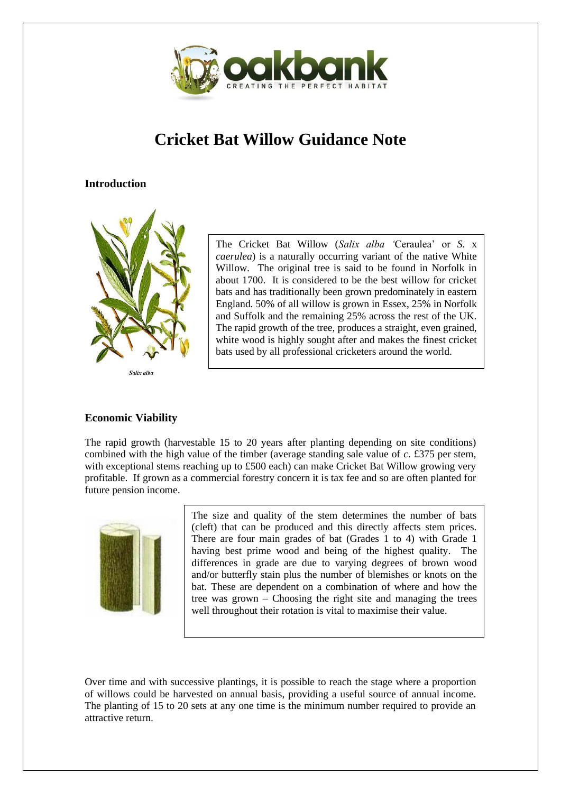

# **Cricket Bat Willow Guidance Note**

# **Introduction**



Salix alba

The Cricket Bat Willow (*Salix alba '*Ceraulea' or *S.* x *caerulea*) is a naturally occurring variant of the native White Willow. The original tree is said to be found in Norfolk in about 1700. It is considered to be the best willow for cricket bats and has traditionally been grown predominately in eastern England. 50% of all willow is grown in Essex, 25% in Norfolk and Suffolk and the remaining 25% across the rest of the UK. The rapid growth of the tree, produces a straight, even grained, white wood is highly sought after and makes the finest cricket bats used by all professional cricketers around the world.

# **Economic Viability**

The rapid growth (harvestable 15 to 20 years after planting depending on site conditions) combined with the high value of the timber (average standing sale value of *c*. £375 per stem, with exceptional stems reaching up to £500 each) can make Cricket Bat Willow growing very profitable. If grown as a commercial forestry concern it is tax fee and so are often planted for future pension income.



The size and quality of the stem determines the number of bats (cleft) that can be produced and this directly affects stem prices. There are four main grades of bat (Grades 1 to 4) with Grade 1 having best prime wood and being of the highest quality. The differences in grade are due to varying degrees of brown wood and/or butterfly stain plus the number of blemishes or knots on the bat. These are dependent on a combination of where and how the tree was grown – Choosing the right site and managing the trees well throughout their rotation is vital to maximise their value.

Over time and with successive plantings, it is possible to reach the stage where a proportion of willows could be harvested on annual basis, providing a useful source of annual income. The planting of 15 to 20 sets at any one time is the minimum number required to provide an attractive return.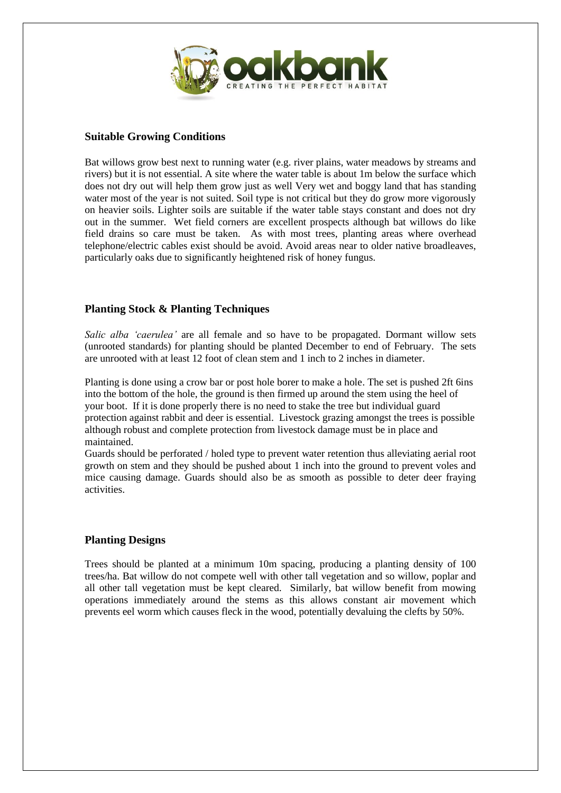

#### **Suitable Growing Conditions**

Bat willows grow best next to running water (e.g. river plains, water meadows by streams and rivers) but it is not essential. A site where the water table is about 1m below the surface which does not dry out will help them grow just as well Very wet and boggy land that has standing water most of the year is not suited. Soil type is not critical but they do grow more vigorously on heavier soils. Lighter soils are suitable if the water table stays constant and does not dry out in the summer. Wet field corners are excellent prospects although bat willows do like field drains so care must be taken. As with most trees, planting areas where overhead telephone/electric cables exist should be avoid. Avoid areas near to older native broadleaves, particularly oaks due to significantly heightened risk of honey fungus.

#### **Planting Stock & Planting Techniques**

*Salic alba 'caerulea'* are all female and so have to be propagated. Dormant willow sets (unrooted standards) for planting should be planted December to end of February. The sets are unrooted with at least 12 foot of clean stem and 1 inch to 2 inches in diameter.

Planting is done using a crow bar or post hole borer to make a hole. The set is pushed 2ft 6ins into the bottom of the hole, the ground is then firmed up around the stem using the heel of your boot. If it is done properly there is no need to stake the tree but individual guard protection against rabbit and deer is essential. Livestock grazing amongst the trees is possible although robust and complete protection from livestock damage must be in place and maintained.

Guards should be perforated / holed type to prevent water retention thus alleviating aerial root growth on stem and they should be pushed about 1 inch into the ground to prevent voles and mice causing damage. Guards should also be as smooth as possible to deter deer fraying activities.

#### **Planting Designs**

Trees should be planted at a minimum 10m spacing, producing a planting density of 100 trees/ha. Bat willow do not compete well with other tall vegetation and so willow, poplar and all other tall vegetation must be kept cleared. Similarly, bat willow benefit from mowing operations immediately around the stems as this allows constant air movement which prevents eel worm which causes fleck in the wood, potentially devaluing the clefts by 50%.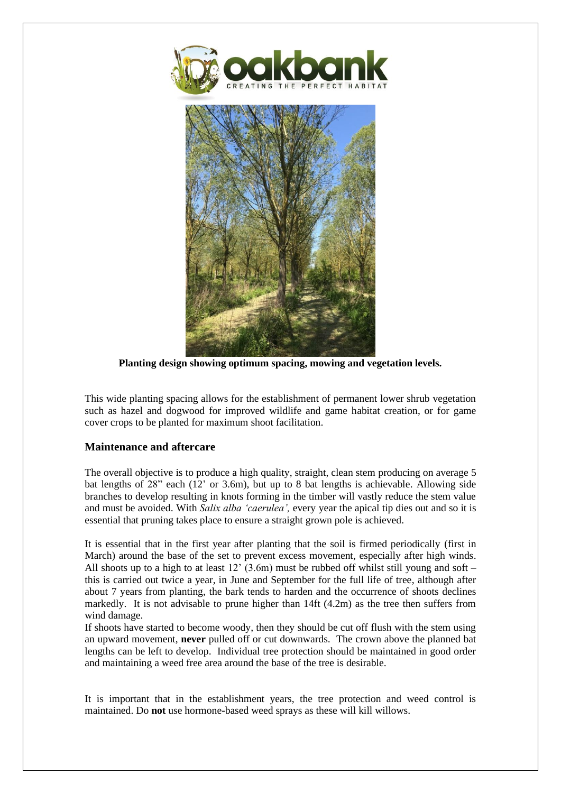

**Planting design showing optimum spacing, mowing and vegetation levels.**

This wide planting spacing allows for the establishment of permanent lower shrub vegetation such as hazel and dogwood for improved wildlife and game habitat creation, or for game cover crops to be planted for maximum shoot facilitation.

# **Maintenance and aftercare**

The overall objective is to produce a high quality, straight, clean stem producing on average 5 bat lengths of 28" each (12' or 3.6m), but up to 8 bat lengths is achievable. Allowing side branches to develop resulting in knots forming in the timber will vastly reduce the stem value and must be avoided. With *Salix alba 'caerulea',* every year the apical tip dies out and so it is essential that pruning takes place to ensure a straight grown pole is achieved.

It is essential that in the first year after planting that the soil is firmed periodically (first in March) around the base of the set to prevent excess movement, especially after high winds. All shoots up to a high to at least 12'  $(3.6m)$  must be rubbed off whilst still young and soft – this is carried out twice a year, in June and September for the full life of tree, although after about 7 years from planting, the bark tends to harden and the occurrence of shoots declines markedly. It is not advisable to prune higher than 14ft (4.2m) as the tree then suffers from wind damage.

If shoots have started to become woody, then they should be cut off flush with the stem using an upward movement, **never** pulled off or cut downwards. The crown above the planned bat lengths can be left to develop. Individual tree protection should be maintained in good order and maintaining a weed free area around the base of the tree is desirable.

It is important that in the establishment years, the tree protection and weed control is maintained. Do **not** use hormone-based weed sprays as these will kill willows.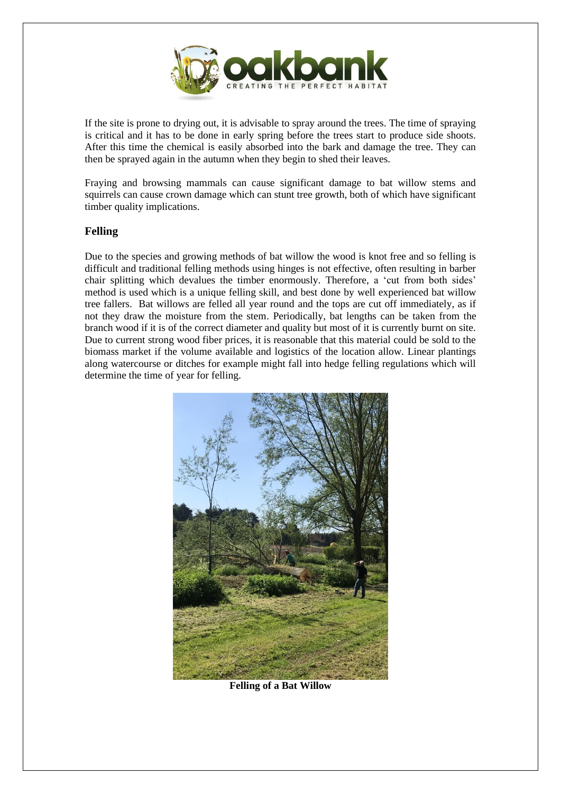

If the site is prone to drying out, it is advisable to spray around the trees. The time of spraying is critical and it has to be done in early spring before the trees start to produce side shoots. After this time the chemical is easily absorbed into the bark and damage the tree. They can then be sprayed again in the autumn when they begin to shed their leaves.

Fraying and browsing mammals can cause significant damage to bat willow stems and squirrels can cause crown damage which can stunt tree growth, both of which have significant timber quality implications.

#### **Felling**

Due to the species and growing methods of bat willow the wood is knot free and so felling is difficult and traditional felling methods using hinges is not effective, often resulting in barber chair splitting which devalues the timber enormously. Therefore, a 'cut from both sides' method is used which is a unique felling skill, and best done by well experienced bat willow tree fallers. Bat willows are felled all year round and the tops are cut off immediately, as if not they draw the moisture from the stem. Periodically, bat lengths can be taken from the branch wood if it is of the correct diameter and quality but most of it is currently burnt on site. Due to current strong wood fiber prices, it is reasonable that this material could be sold to the biomass market if the volume available and logistics of the location allow. Linear plantings along watercourse or ditches for example might fall into hedge felling regulations which will determine the time of year for felling.



**Felling of a Bat Willow**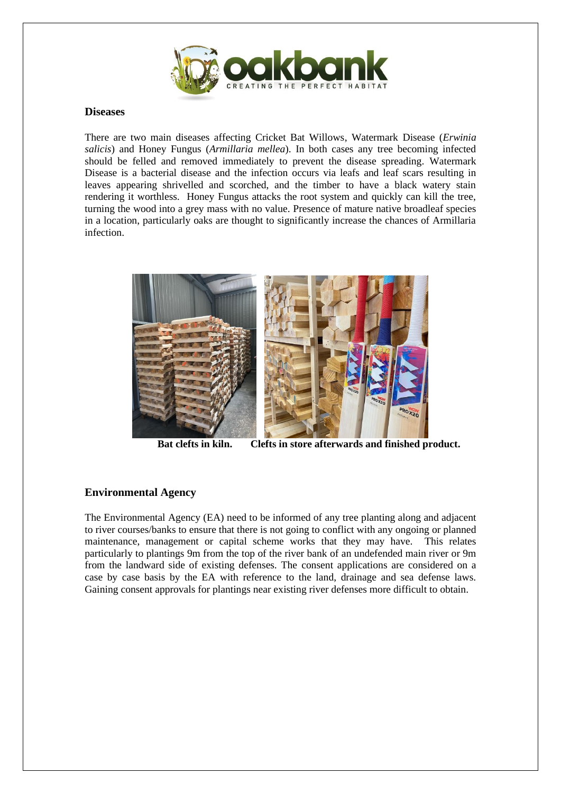

#### **Diseases**

There are two main diseases affecting Cricket Bat Willows, Watermark Disease (*Erwinia salicis*) and Honey Fungus (*Armillaria mellea*). In both cases any tree becoming infected should be felled and removed immediately to prevent the disease spreading. Watermark Disease is a bacterial disease and the infection occurs via leafs and leaf scars resulting in leaves appearing shrivelled and scorched, and the timber to have a black watery stain rendering it worthless. Honey Fungus attacks the root system and quickly can kill the tree, turning the wood into a grey mass with no value. Presence of mature native broadleaf species in a location, particularly oaks are thought to significantly increase the chances of Armillaria infection.



 **Bat clefts in kiln. Clefts in store afterwards and finished product.**

### **Environmental Agency**

The Environmental Agency (EA) need to be informed of any tree planting along and adjacent to river courses/banks to ensure that there is not going to conflict with any ongoing or planned maintenance, management or capital scheme works that they may have. This relates particularly to plantings 9m from the top of the river bank of an undefended main river or 9m from the landward side of existing defenses. The consent applications are considered on a case by case basis by the EA with reference to the land, drainage and sea defense laws. Gaining consent approvals for plantings near existing river defenses more difficult to obtain.